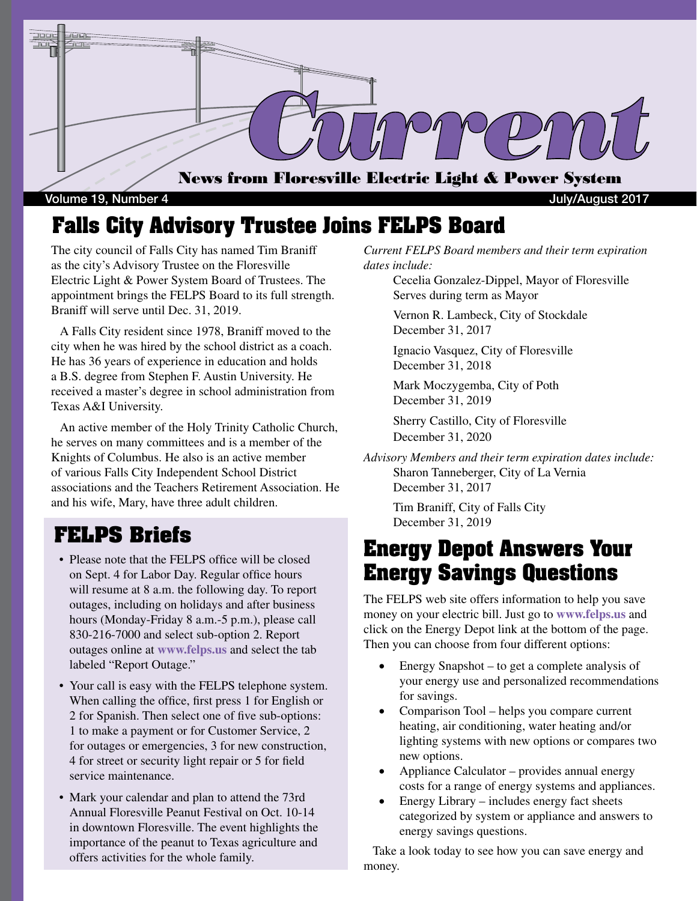

Volume 19, Number 4 July/August 2017

## **Falls City Advisory Trustee Joins FELPS Board**

The city council of Falls City has named Tim Braniff as the city's Advisory Trustee on the Floresville Electric Light & Power System Board of Trustees. The appointment brings the FELPS Board to its full strength. Braniff will serve until Dec. 31, 2019.

 A Falls City resident since 1978, Braniff moved to the city when he was hired by the school district as a coach. He has 36 years of experience in education and holds a B.S. degree from Stephen F. Austin University. He received a master's degree in school administration from Texas A&I University.

 An active member of the Holy Trinity Catholic Church, he serves on many committees and is a member of the Knights of Columbus. He also is an active member of various Falls City Independent School District associations and the Teachers Retirement Association. He and his wife, Mary, have three adult children.

## **FELPS Briefs**

- Please note that the FELPS office will be closed on Sept. 4 for Labor Day. Regular office hours will resume at 8 a.m. the following day. To report outages, including on holidays and after business hours (Monday-Friday 8 a.m.-5 p.m.), please call 830-216-7000 and select sub-option 2. Report outages online at **www.felps.us** and select the tab labeled "Report Outage."
- Your call is easy with the FELPS telephone system. When calling the office, first press 1 for English or 2 for Spanish. Then select one of five sub-options: 1 to make a payment or for Customer Service, 2 for outages or emergencies, 3 for new construction, 4 for street or security light repair or 5 for field service maintenance.
- Mark your calendar and plan to attend the 73rd Annual Floresville Peanut Festival on Oct. 10-14 in downtown Floresville. The event highlights the importance of the peanut to Texas agriculture and offers activities for the whole family.

*Current FELPS Board members and their term expiration dates include:*

Cecelia Gonzalez-Dippel, Mayor of Floresville Serves during term as Mayor

Vernon R. Lambeck, City of Stockdale December 31, 2017

Ignacio Vasquez, City of Floresville December 31, 2018

Mark Moczygemba, City of Poth December 31, 2019

Sherry Castillo, City of Floresville December 31, 2020

*Advisory Members and their term expiration dates include:* Sharon Tanneberger, City of La Vernia December 31, 2017

> Tim Braniff, City of Falls City December 31, 2019

# **Energy Depot Answers Your Energy Savings Questions**

The FELPS web site offers information to help you save money on your electric bill. Just go to **www.felps.us** and click on the Energy Depot link at the bottom of the page. Then you can choose from four different options:

- Energy Snapshot to get a complete analysis of your energy use and personalized recommendations for savings.
- Comparison Tool helps you compare current heating, air conditioning, water heating and/or lighting systems with new options or compares two new options.
- Appliance Calculator provides annual energy costs for a range of energy systems and appliances.
- Energy Library includes energy fact sheets categorized by system or appliance and answers to energy savings questions.

 Take a look today to see how you can save energy and money.